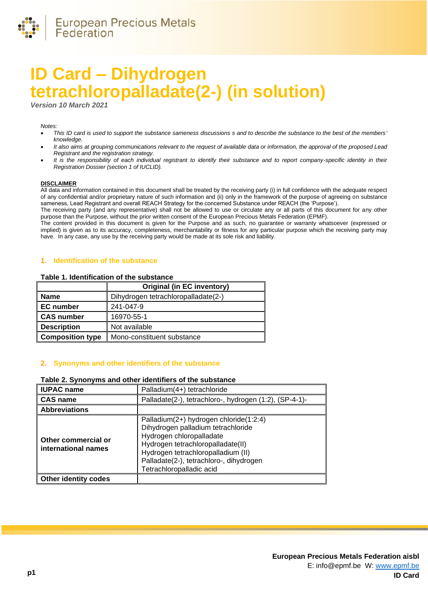

# **ID Card – Dihydrogen tetrachloropalladate(2-) (in solution)**

*Version 10 March 20* 

#### *Notes:*

- *This ID card is used to support the substance sameness discussions s and to describe the substance to the best of the members' knowledge.*
- *It also aims at grouping communications relevant to the request of available data or information, the approval of the proposed Lead Registrant and the registration strategy.*
- *It is the responsibility of each individual registrant to identify their substance and to report company-specific identity in their Registration Dossier (section 1 of IUCLID).*

#### **DISCLAIMER**

All data and information contained in this document shall be treated by the receiving party (i) in full confidence with the adequate respect of any confidential and/or proprietary nature of such information and (ii) only in the framework of the purpose of agreeing on substance sameness, Lead Registrant and overall REACH Strategy for the concerned Substance under REACH (the 'Purpose').

The receiving party (and any representative) shall not be allowed to use or circulate any or all parts of this document for any other purpose than the Purpose, without the prior written consent of the European Precious Metals Federation (EPMF).

The content provided in this document is given for the Purpose and as such, no guarantee or warranty whatsoever (expressed or implied) is given as to its accuracy, completeness, merchantability or fitness for any particular purpose which the receiving party may have. In any case, any use by the receiving party would be made at its sole risk and liability.

#### **1. Identification of the substance**

#### **Table 1. Identification of the substance**

|                         | <b>Original (in EC inventory)</b>   |
|-------------------------|-------------------------------------|
| <b>Name</b>             | Dihydrogen tetrachloropalladate(2-) |
| <b>EC</b> number        | 241-047-9                           |
| <b>CAS number</b>       | 16970-55-1                          |
| <b>Description</b>      | Not available                       |
| <b>Composition type</b> | Mono-constituent substance          |

#### **2. Synonyms and other identifiers of the substance**

#### **Table 2. Synonyms and other identifiers of the substance**

| <b>IUPAC name</b>                          | Palladium(4+) tetrachloride                                                                                                                                                                                                                                |  |
|--------------------------------------------|------------------------------------------------------------------------------------------------------------------------------------------------------------------------------------------------------------------------------------------------------------|--|
| <b>CAS name</b>                            | Palladate(2-), tetrachloro-, hydrogen (1:2), (SP-4-1)-                                                                                                                                                                                                     |  |
| <b>Abbreviations</b>                       |                                                                                                                                                                                                                                                            |  |
| Other commercial or<br>international names | Palladium(2+) hydrogen chloride(1:2:4)<br>Dihydrogen palladium tetrachloride<br>Hydrogen chloropalladate<br>Hydrogen tetrachloropalladate(II)<br>Hydrogen tetrachloropalladium (II)<br>Palladate(2-), tetrachloro-, dihydrogen<br>Tetrachloropalladic acid |  |
| <b>Other identity codes</b>                |                                                                                                                                                                                                                                                            |  |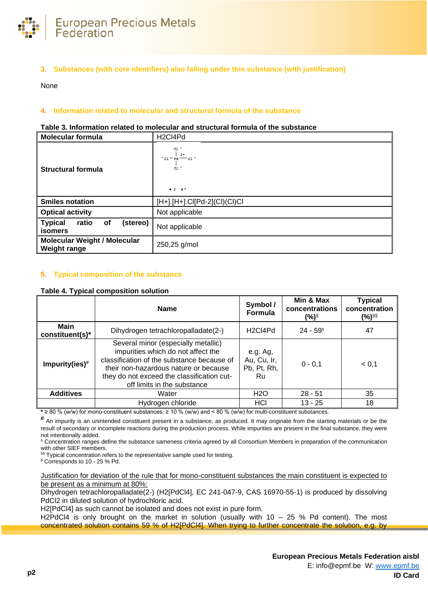

# **3. Substances (with core identifiers) also falling under this substance (with justification)**

None

## **4. Information related to molecular and structural formula of the substance**

#### **Table 3. Information related to molecular and structural formula of the substance**

| <b>Molecular formula</b>                                    | H <sub>2</sub> Cl4Pd                                                                                                  |
|-------------------------------------------------------------|-----------------------------------------------------------------------------------------------------------------------|
| <b>Structural formula</b>                                   | $c1$ .<br>$2+$<br>$^{\circ}$ c1 $^{\circ}$ Pd $^{\circ\circ\circ}$ c1 $^{\circ}$<br>$c1$ .<br>$-2$ $\mu$ <sup>+</sup> |
| <b>Smiles notation</b>                                      | $[H+].[H+]$ .Cl $[Pd-2](Cl)(Cl)$ Cl                                                                                   |
| <b>Optical activity</b>                                     | Not applicable                                                                                                        |
| (stereo)<br><b>Typical</b><br>ratio<br>оf<br><b>isomers</b> | Not applicable                                                                                                        |
| <b>Molecular Weight / Molecular</b><br><b>Weight range</b>  | 250,25 g/mol                                                                                                          |

## **5. Typical composition of the substance**

#### **Table 4. Typical composition solution**

|                                | <b>Name</b>                                                                                                                                                                                                                                   | Symbol /<br>Formula                           | Min & Max<br>concentrations<br>(%)§ | <b>Typical</b><br>concentration<br>(%) <sup>§§</sup> |
|--------------------------------|-----------------------------------------------------------------------------------------------------------------------------------------------------------------------------------------------------------------------------------------------|-----------------------------------------------|-------------------------------------|------------------------------------------------------|
| <b>Main</b><br>constituent(s)* | Dihydrogen tetrachloropalladate(2-)                                                                                                                                                                                                           | H <sub>2</sub> C <sub>l4</sub> P <sub>d</sub> | $24 - 59$ <sup>\$</sup>             | 47                                                   |
| Impurity(ies) $#$              | Several minor (especially metallic)<br>impurities which do not affect the<br>classification of the substance because of<br>their non-hazardous nature or because<br>they do not exceed the classification cut-<br>off limits in the substance | e.g. Ag,<br>Au, Cu, Ir,<br>Pb, Pt, Rh,<br>Ru  | $0 - 0.1$                           | < 0.1                                                |
| <b>Additives</b>               | Water                                                                                                                                                                                                                                         | H2O                                           | $28 - 51$                           | 35                                                   |
|                                | Hydrogen chloride                                                                                                                                                                                                                             | HCI                                           | $13 - 25$                           | 18                                                   |

**\*** ≥ 80 % (w/w) for mono-constituent substances; ≥ 10 % (w/w) and < 80 % (w/w) for multi-constituent substances.

# An impurity is an unintended constituent present in a substance, as produced. It may originate from the starting materials or be the result of secondary or incomplete reactions during the production process. While impurities are present in the final substance, they were not intentionally added.

§ Concentration ranges define the substance sameness criteria agreed by all Consortium Members in preparation of the communication with other SIEF members.

S§ Typical concentration refers to the representative sample used for testing.

\$ Corresponds to 10 - 25 % Pd.

Justification for deviation of the rule that for mono-constituent substances the main constituent is expected to be present as a minimum at 80%:

Dihydrogen tetrachloropalladate(2-) (H2[PdCl4], EC 241-047-9, CAS 16970-55-1) is produced by dissolving PdCl2 in diluted solution of hydrochloric acid.

H2[PdCl4] as such cannot be isolated and does not exist in pure form.

H2PdCl4 is only brought on the market in solution (usually with  $10 - 25$  % Pd content). The most concentrated solution contains 59 % of H2[PdCl4]. When trying to further concentrate the solution, e.g. by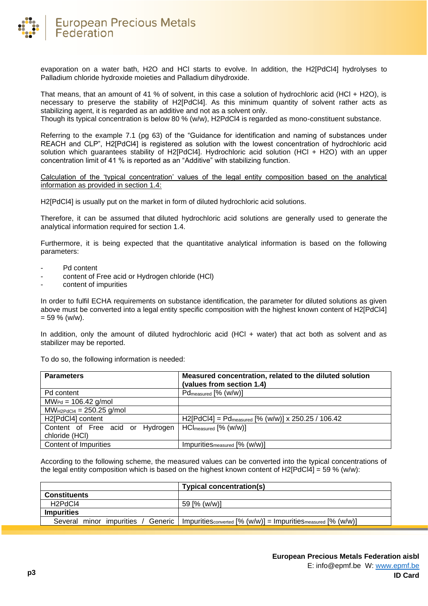

evaporation on a water bath, H2O and HCl starts to evolve. In addition, the H2[PdCl4] hydrolyses to Palladium chloride hydroxide moieties and Palladium dihydroxide.

That means, that an amount of 41 % of solvent, in this case a solution of hydrochloric acid (HCl + H2O), is necessary to preserve the stability of H2[PdCl4]. As this minimum quantity of solvent rather acts as stabilizing agent, it is regarded as an additive and not as a solvent only.

Though its typical concentration is below 80 % (w/w), H2PdCl4 is regarded as mono-constituent substance.

Referring to the example 7.1 (pg 63) of the "Guidance for identification and naming of substances under REACH and CLP", H2[PdCl4] is registered as solution with the lowest concentration of hydrochloric acid solution which guarantees stability of H2[PdCl4]. Hydrochloric acid solution (HCl + H2O) with an upper concentration limit of 41 % is reported as an "Additive" with stabilizing function.

Calculation of the 'typical concentration' values of the legal entity composition based on the analytical information as provided in section 1.4:

H2[PdCl4] is usually put on the market in form of diluted hydrochloric acid solutions.

Therefore, it can be assumed that diluted hydrochloric acid solutions are generally used to generate the analytical information required for section 1.4.

Furthermore, it is being expected that the quantitative analytical information is based on the following parameters:

- Pd content
- content of Free acid or Hydrogen chloride (HCl)
- content of impurities

In order to fulfil ECHA requirements on substance identification, the parameter for diluted solutions as given above must be converted into a legal entity specific composition with the highest known content of H2[PdCl4]  $= 59 \%$  (w/w).

In addition, only the amount of diluted hydrochloric acid (HCl + water) that act both as solvent and as stabilizer may be reported.

To do so, the following information is needed:

| <b>Parameters</b>                | Measured concentration, related to the diluted solution<br>(values from section 1.4) |
|----------------------------------|--------------------------------------------------------------------------------------|
| Pd content                       | Pd <sub>measured</sub> [% (w/w)]                                                     |
| $M W_{Pd} = 106.42$ g/mol        |                                                                                      |
| $MW_{H2PdCl4} = 250.25$ g/mol    |                                                                                      |
| H2[PdCl4] content                | $H2[PdC14] = Pd_{measured}$ [% (w/w)] x 250.25 / 106.42                              |
| Content of Free acid or Hydrogen | $HCl_{measured}$ [% (w/w)]                                                           |
| chloride (HCI)                   |                                                                                      |
| <b>Content of Impurities</b>     | ImpuritieSmeasured [% (w/w)]                                                         |

According to the following scheme, the measured values can be converted into the typical concentrations of the legal entity composition which is based on the highest known content of H2[PdCl4] = 59 % (w/w):

|                                  | <b>Typical concentration(s)</b>                                                                  |
|----------------------------------|--------------------------------------------------------------------------------------------------|
| <b>Constituents</b>              |                                                                                                  |
| H <sub>2</sub> PdC <sub>l4</sub> | 59 [% (w/w)]                                                                                     |
| <b>Impurities</b>                |                                                                                                  |
| minor impurities<br>Several      | Generic   Impurities $_{\text{converted}}$ [% (w/w)] = Impurities $_{\text{measured}}$ [% (w/w)] |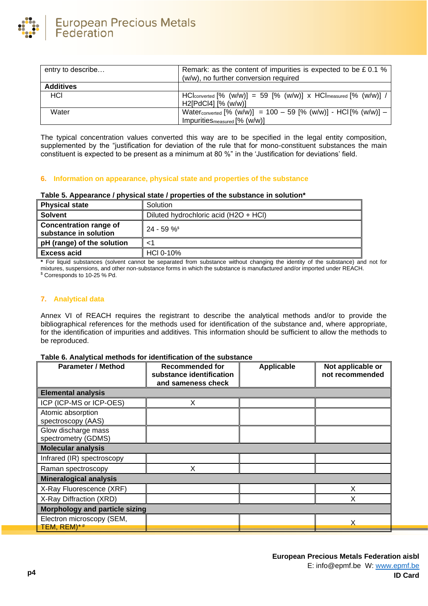

| entry to describe | Remark: as the content of impurities is expected to be £0.1 %<br>(w/w), no further conversion required                                |  |
|-------------------|---------------------------------------------------------------------------------------------------------------------------------------|--|
| <b>Additives</b>  |                                                                                                                                       |  |
| HCI               | $\text{HCl}_{\text{converted}}$ [% $(w/w)$ ] = 59 [% $(w/w)$ ] x $\text{HCl}_{\text{measured}}$ [% $(w/w)$ ] /<br>H2[PdCl4] [% (w/w)] |  |
| Water             | Water <sub>converted</sub> [% (w/w)] = 100 - 59 [% (w/w)] - HCI [% (w/w)] -<br>ImpuritieSmeasured [% (w/w)]                           |  |

The typical concentration values converted this way are to be specified in the legal entity composition, supplemented by the "justification for deviation of the rule that for mono-constituent substances the main constituent is expected to be present as a minimum at 80 %" in the 'Justification for deviations' field.

## **6. Information on appearance, physical state and properties of the substance**

#### **Table 5. Appearance / physical state / properties of the substance in solution\***

| <b>Physical state</b>                                  | Solution                              |  |
|--------------------------------------------------------|---------------------------------------|--|
| <b>Solvent</b>                                         | Diluted hydrochloric acid (H2O + HCl) |  |
| <b>Concentration range of</b><br>substance in solution | $24 - 59 \%$                          |  |
| pH (range) of the solution                             |                                       |  |
| <b>Excess acid</b>                                     | HCI 0-10%                             |  |
|                                                        | .<br>.                                |  |

**\*** For liquid substances (solvent cannot be separated from substance without changing the identity of the substance) and not for mixtures, suspensions, and other non-substance forms in which the substance is manufactured and/or imported under REACH. \$ Corresponds to 10-25 % Pd.

## **7. Analytical data**

Annex VI of REACH requires the registrant to describe the analytical methods and/or to provide the bibliographical references for the methods used for identification of the substance and, where appropriate, for the identification of impurities and additives. This information should be sufficient to allow the methods to be reproduced.

## **Table 6. Analytical methods for identification of the substance**

| <b>Parameter / Method</b>                  | <b>Recommended for</b><br>substance identification<br>and sameness check | <b>Applicable</b> | Not applicable or<br>not recommended |
|--------------------------------------------|--------------------------------------------------------------------------|-------------------|--------------------------------------|
| <b>Elemental analysis</b>                  |                                                                          |                   |                                      |
| ICP (ICP-MS or ICP-OES)                    | X                                                                        |                   |                                      |
| Atomic absorption<br>spectroscopy (AAS)    |                                                                          |                   |                                      |
| Glow discharge mass<br>spectrometry (GDMS) |                                                                          |                   |                                      |
| <b>Molecular analysis</b>                  |                                                                          |                   |                                      |
| Infrared (IR) spectroscopy                 |                                                                          |                   |                                      |
| Raman spectroscopy                         | х                                                                        |                   |                                      |
| <b>Mineralogical analysis</b>              |                                                                          |                   |                                      |
| X-Ray Fluorescence (XRF)                   |                                                                          |                   | X                                    |
| X-Ray Diffraction (XRD)                    |                                                                          |                   | X                                    |
| <b>Morphology and particle sizing</b>      |                                                                          |                   |                                      |
| Electron microscopy (SEM,<br>TEM, REM)*#   |                                                                          |                   |                                      |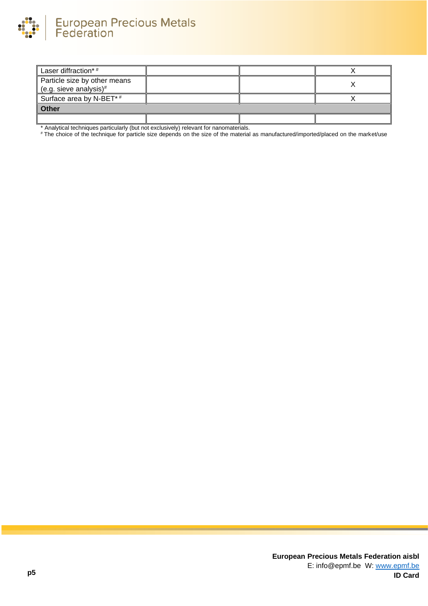

| Laser diffraction*#                                    |  |  |  |
|--------------------------------------------------------|--|--|--|
| Particle size by other means<br>(e.g. sieve analysis)# |  |  |  |
| Surface area by N-BET*#                                |  |  |  |
| <b>Other</b>                                           |  |  |  |
|                                                        |  |  |  |

\* Analytical techniques particularly (but not exclusively) relevant for nanomaterials.

# The choice of the technique for particle size depends on the size of the material as manufactured/imported/placed on the market/use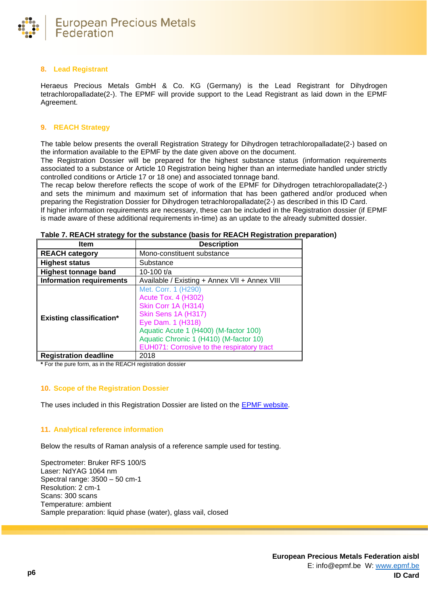

## **8. Lead Registrant**

Heraeus Precious Metals GmbH & Co. KG (Germany) is the Lead Registrant for Dihydrogen tetrachloropalladate(2-). The EPMF will provide support to the Lead Registrant as laid down in the EPMF Agreement.

## **9. REACH Strategy**

The table below presents the overall Registration Strategy for Dihydrogen tetrachloropalladate(2-) based on the information available to the EPMF by the date given above on the document.

The Registration Dossier will be prepared for the highest substance status (information requirements associated to a substance or Article 10 Registration being higher than an intermediate handled under strictly controlled conditions or Article 17 or 18 one) and associated tonnage band.

The recap below therefore reflects the scope of work of the EPMF for Dihydrogen tetrachloropalladate(2-) and sets the minimum and maximum set of information that has been gathered and/or produced when preparing the Registration Dossier for Dihydrogen tetrachloropalladate(2-) as described in this ID Card. If higher information requirements are necessary, these can be included in the Registration dossier (if EPMF is made aware of these additional requirements in-time) as an update to the already submitted dossier.

| Item                            | <b>Description</b>                                                                                                                                                                                                                                    |  |
|---------------------------------|-------------------------------------------------------------------------------------------------------------------------------------------------------------------------------------------------------------------------------------------------------|--|
| <b>REACH category</b>           | Mono-constituent substance                                                                                                                                                                                                                            |  |
| <b>Highest status</b>           | Substance                                                                                                                                                                                                                                             |  |
| <b>Highest tonnage band</b>     | 10-100 $t/a$                                                                                                                                                                                                                                          |  |
| <b>Information requirements</b> | Available / Existing + Annex VII + Annex VIII                                                                                                                                                                                                         |  |
| <b>Existing classification*</b> | Met. Corr. 1 (H290)<br><b>Acute Tox. 4 (H302)</b><br>Skin Corr 1A (H314)<br>Skin Sens 1A (H317)<br>Eye Dam. 1 (H318)<br>Aquatic Acute 1 (H400) (M-factor 100)<br>Aquatic Chronic 1 (H410) (M-factor 10)<br>EUH071: Corrosive to the respiratory tract |  |
| <b>Registration deadline</b>    | 2018                                                                                                                                                                                                                                                  |  |

**Table 7. REACH strategy for the substance (basis for REACH Registration preparation)**

**\*** For the pure form, as in the REACH registration dossier

## **10. Scope of the Registration Dossier**

The uses included in this Registration Dossier are listed on the [EPMF website.](https://www.epmf.be/)

# **11. Analytical reference information**

Below the results of Raman analysis of a reference sample used for testing.

Spectrometer: Bruker RFS 100/S Laser: NdYAG 1064 nm Spectral range: 3500 – 50 cm-1 Resolution: 2 cm-1 Scans: 300 scans Temperature: ambient Sample preparation: liquid phase (water), glass vail, closed